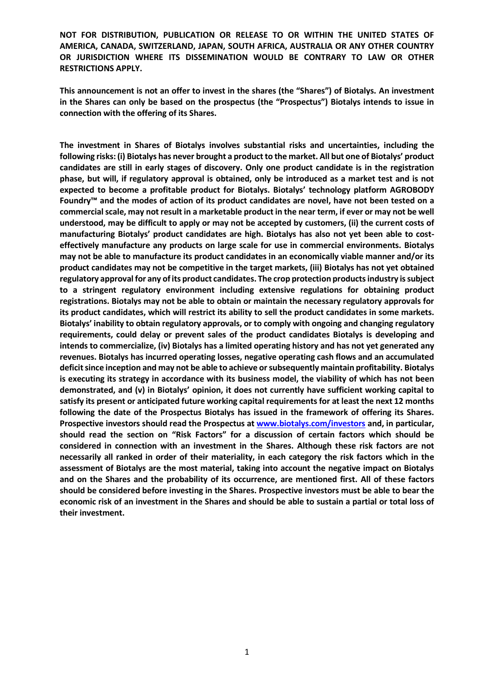**This announcement is not an offer to invest in the shares (the "Shares") of Biotalys. An investment in the Shares can only be based on the prospectus (the "Prospectus") Biotalys intends to issue in connection with the offering of its Shares.**

**The investment in Shares of Biotalys involves substantial risks and uncertainties, including the following risks: (i) Biotalys has never brought a product to the market. All but one of Biotalys' product candidates are still in early stages of discovery. Only one product candidate is in the registration phase, but will, if regulatory approval is obtained, only be introduced as a market test and is not expected to become a profitable product for Biotalys. Biotalys' technology platform AGROBODY Foundry™ and the modes of action of its product candidates are novel, have not been tested on a commercial scale, may not result in a marketable product in the near term, if ever or may not be well understood, may be difficult to apply or may not be accepted by customers, (ii) the current costs of manufacturing Biotalys' product candidates are high. Biotalys has also not yet been able to costeffectively manufacture any products on large scale for use in commercial environments. Biotalys may not be able to manufacture its product candidates in an economically viable manner and/or its product candidates may not be competitive in the target markets, (iii) Biotalys has not yet obtained regulatory approval for any of its product candidates. The crop protection products industry is subject to a stringent regulatory environment including extensive regulations for obtaining product registrations. Biotalys may not be able to obtain or maintain the necessary regulatory approvals for its product candidates, which will restrict its ability to sell the product candidates in some markets. Biotalys' inability to obtain regulatory approvals, or to comply with ongoing and changing regulatory requirements, could delay or prevent sales of the product candidates Biotalys is developing and intends to commercialize, (iv) Biotalys has a limited operating history and has not yet generated any revenues. Biotalys has incurred operating losses, negative operating cash flows and an accumulated deficit since inception and may not be able to achieve or subsequently maintain profitability. Biotalys is executing its strategy in accordance with its business model, the viability of which has not been demonstrated, and (v) in Biotalys' opinion, it does not currently have sufficient working capital to satisfy its present or anticipated future working capital requirements for at least the next 12 months following the date of the Prospectus Biotalys has issued in the framework of offering its Shares. Prospective investors should read the Prospectus at [www.biotalys.com/investors](http://www.biotalys.com/investors) and, in particular, should read the section on "Risk Factors" for a discussion of certain factors which should be considered in connection with an investment in the Shares. Although these risk factors are not necessarily all ranked in order of their materiality, in each category the risk factors which in the assessment of Biotalys are the most material, taking into account the negative impact on Biotalys and on the Shares and the probability of its occurrence, are mentioned first. All of these factors should be considered before investing in the Shares. Prospective investors must be able to bear the economic risk of an investment in the Shares and should be able to sustain a partial or total loss of their investment.**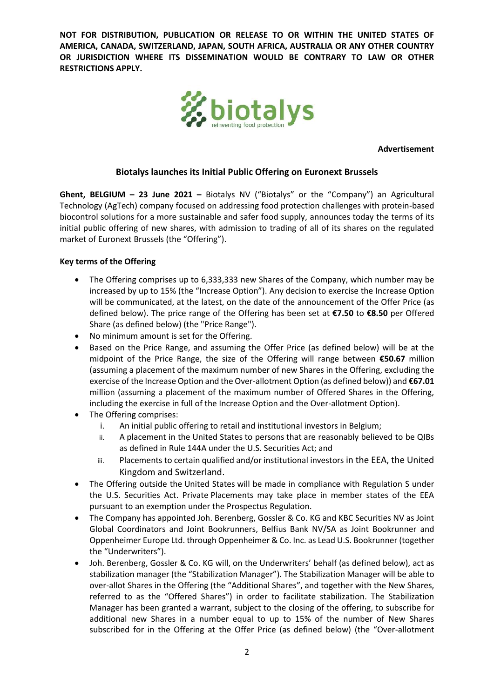

**Advertisement**

## **Biotalys launches its Initial Public Offering on Euronext Brussels**

**Ghent, BELGIUM – 23 June 2021 –** Biotalys NV ("Biotalys" or the "Company") an Agricultural Technology (AgTech) company focused on addressing food protection challenges with protein-based biocontrol solutions for a more sustainable and safer food supply, announces today the terms of its initial public offering of new shares, with admission to trading of all of its shares on the regulated market of Euronext Brussels (the "Offering").

### **Key terms of the Offering**

- The Offering comprises up to 6,333,333 new Shares of the Company, which number may be increased by up to 15% (the "Increase Option"). Any decision to exercise the Increase Option will be communicated, at the latest, on the date of the announcement of the Offer Price (as defined below). The price range of the Offering has been set at **€7.50** to **€8.50** per Offered Share (as defined below) (the "Price Range").
- No minimum amount is set for the Offering.
- Based on the Price Range, and assuming the Offer Price (as defined below) will be at the midpoint of the Price Range, the size of the Offering will range between **€50.67** million (assuming a placement of the maximum number of new Shares in the Offering, excluding the exercise of the Increase Option and the Over-allotment Option (as defined below)) and **€67.01** million (assuming a placement of the maximum number of Offered Shares in the Offering, including the exercise in full of the Increase Option and the Over-allotment Option).
- The Offering comprises:
	- i. An initial public offering to retail and institutional investors in Belgium;
	- ii. A placement in the United States to persons that are reasonably believed to be QIBs as defined in Rule 144A under the U.S. Securities Act; and
	- iii. Placements to certain qualified and/or institutional investors in the EEA, the United Kingdom and Switzerland.
- The Offering outside the United States will be made in compliance with Regulation S under the U.S. Securities Act. Private Placements may take place in member states of the EEA pursuant to an exemption under the Prospectus Regulation.
- The Company has appointed Joh. Berenberg, Gossler & Co. KG and KBC Securities NV as Joint Global Coordinators and Joint Bookrunners, Belfius Bank NV/SA as Joint Bookrunner and Oppenheimer Europe Ltd. through Oppenheimer & Co. Inc. as Lead U.S. Bookrunner (together the "Underwriters").
- Joh. Berenberg, Gossler & Co. KG will, on the Underwriters' behalf (as defined below), act as stabilization manager (the "Stabilization Manager"). The Stabilization Manager will be able to over-allot Shares in the Offering (the "Additional Shares", and together with the New Shares, referred to as the "Offered Shares") in order to facilitate stabilization. The Stabilization Manager has been granted a warrant, subject to the closing of the offering, to subscribe for additional new Shares in a number equal to up to 15% of the number of New Shares subscribed for in the Offering at the Offer Price (as defined below) (the "Over-allotment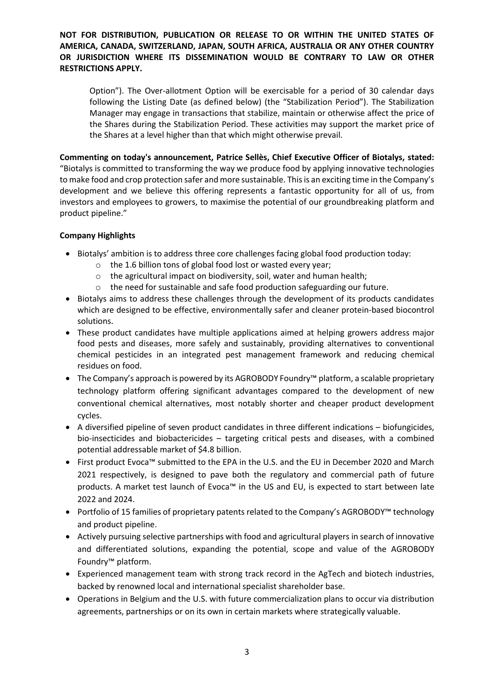Option"). The Over-allotment Option will be exercisable for a period of 30 calendar days following the Listing Date (as defined below) (the "Stabilization Period"). The Stabilization Manager may engage in transactions that stabilize, maintain or otherwise affect the price of the Shares during the Stabilization Period. These activities may support the market price of the Shares at a level higher than that which might otherwise prevail.

**Commenting on today's announcement, Patrice Sellès, Chief Executive Officer of Biotalys, stated:** "Biotalys is committed to transforming the way we produce food by applying innovative technologies to make food and crop protection safer and more sustainable. This is an exciting time in the Company's development and we believe this offering represents a fantastic opportunity for all of us, from investors and employees to growers, to maximise the potential of our groundbreaking platform and product pipeline."

# **Company Highlights**

- Biotalys' ambition is to address three core challenges facing global food production today:
	- o the 1.6 billion tons of global food lost or wasted every year;
	- o the agricultural impact on biodiversity, soil, water and human health;
	- o the need for sustainable and safe food production safeguarding our future.
- Biotalys aims to address these challenges through the development of its products candidates which are designed to be effective, environmentally safer and cleaner protein-based biocontrol solutions.
- These product candidates have multiple applications aimed at helping growers address major food pests and diseases, more safely and sustainably, providing alternatives to conventional chemical pesticides in an integrated pest management framework and reducing chemical residues on food.
- The Company's approach is powered by its AGROBODY Foundry™ platform, a scalable proprietary technology platform offering significant advantages compared to the development of new conventional chemical alternatives, most notably shorter and cheaper product development cycles.
- A diversified pipeline of seven product candidates in three different indications biofungicides, bio-insecticides and biobactericides – targeting critical pests and diseases, with a combined potential addressable market of \$4.8 billion.
- First product Evoca™ submitted to the EPA in the U.S. and the EU in December 2020 and March 2021 respectively, is designed to pave both the regulatory and commercial path of future products. A market test launch of Evoca™ in the US and EU, is expected to start between late 2022 and 2024.
- Portfolio of 15 families of proprietary patents related to the Company's AGROBODY™ technology and product pipeline.
- Actively pursuing selective partnerships with food and agricultural players in search of innovative and differentiated solutions, expanding the potential, scope and value of the AGROBODY Foundry™ platform.
- Experienced management team with strong track record in the AgTech and biotech industries, backed by renowned local and international specialist shareholder base.
- Operations in Belgium and the U.S. with future commercialization plans to occur via distribution agreements, partnerships or on its own in certain markets where strategically valuable.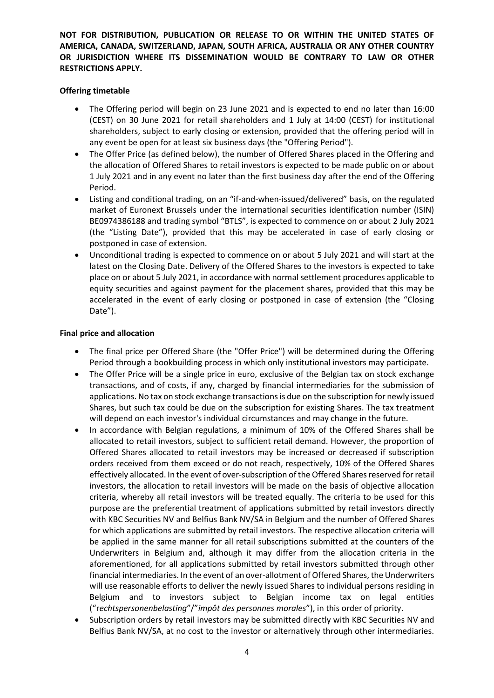### **Offering timetable**

- The Offering period will begin on 23 June 2021 and is expected to end no later than 16:00 (CEST) on 30 June 2021 for retail shareholders and 1 July at 14:00 (CEST) for institutional shareholders, subject to early closing or extension, provided that the offering period will in any event be open for at least six business days (the "Offering Period").
- The Offer Price (as defined below), the number of Offered Shares placed in the Offering and the allocation of Offered Shares to retail investors is expected to be made public on or about 1 July 2021 and in any event no later than the first business day after the end of the Offering Period.
- Listing and conditional trading, on an "if-and-when-issued/delivered" basis, on the regulated market of Euronext Brussels under the international securities identification number (ISIN) BE0974386188 and trading symbol "BTLS", is expected to commence on or about 2 July 2021 (the "Listing Date"), provided that this may be accelerated in case of early closing or postponed in case of extension.
- Unconditional trading is expected to commence on or about 5 July 2021 and will start at the latest on the Closing Date. Delivery of the Offered Shares to the investors is expected to take place on or about 5 July 2021, in accordance with normal settlement procedures applicable to equity securities and against payment for the placement shares, provided that this may be accelerated in the event of early closing or postponed in case of extension (the "Closing Date").

### **Final price and allocation**

- The final price per Offered Share (the "Offer Price") will be determined during the Offering Period through a bookbuilding process in which only institutional investors may participate.
- The Offer Price will be a single price in euro, exclusive of the Belgian tax on stock exchange transactions, and of costs, if any, charged by financial intermediaries for the submission of applications. No tax on stock exchange transactions is due on the subscription for newly issued Shares, but such tax could be due on the subscription for existing Shares. The tax treatment will depend on each investor's individual circumstances and may change in the future.
- In accordance with Belgian regulations, a minimum of 10% of the Offered Shares shall be allocated to retail investors, subject to sufficient retail demand. However, the proportion of Offered Shares allocated to retail investors may be increased or decreased if subscription orders received from them exceed or do not reach, respectively, 10% of the Offered Shares effectively allocated. In the event of over-subscription of the Offered Shares reserved for retail investors, the allocation to retail investors will be made on the basis of objective allocation criteria, whereby all retail investors will be treated equally. The criteria to be used for this purpose are the preferential treatment of applications submitted by retail investors directly with KBC Securities NV and Belfius Bank NV/SA in Belgium and the number of Offered Shares for which applications are submitted by retail investors. The respective allocation criteria will be applied in the same manner for all retail subscriptions submitted at the counters of the Underwriters in Belgium and, although it may differ from the allocation criteria in the aforementioned, for all applications submitted by retail investors submitted through other financial intermediaries. In the event of an over-allotment of Offered Shares, the Underwriters will use reasonable efforts to deliver the newly issued Shares to individual persons residing in Belgium and to investors subject to Belgian income tax on legal entities ("r*echtspersonenbelasting*"/"*impôt des personnes morales*"), in this order of priority.
- Subscription orders by retail investors may be submitted directly with KBC Securities NV and Belfius Bank NV/SA, at no cost to the investor or alternatively through other intermediaries.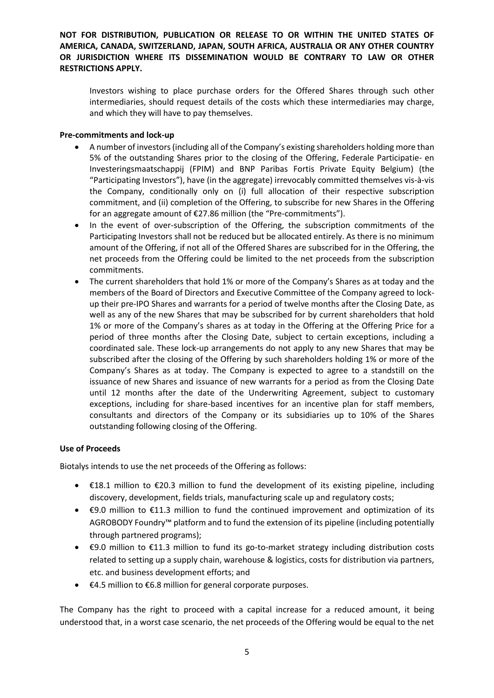Investors wishing to place purchase orders for the Offered Shares through such other intermediaries, should request details of the costs which these intermediaries may charge, and which they will have to pay themselves.

### **Pre-commitments and lock-up**

- A number of investors (including all of the Company's existing shareholders holding more than 5% of the outstanding Shares prior to the closing of the Offering, Federale Participatie- en Investeringsmaatschappij (FPIM) and BNP Paribas Fortis Private Equity Belgium) (the "Participating Investors"), have (in the aggregate) irrevocably committed themselves vis-à-vis the Company, conditionally only on (i) full allocation of their respective subscription commitment, and (ii) completion of the Offering, to subscribe for new Shares in the Offering for an aggregate amount of €27.86 million (the "Pre-commitments").
- In the event of over-subscription of the Offering, the subscription commitments of the Participating Investors shall not be reduced but be allocated entirely. As there is no minimum amount of the Offering, if not all of the Offered Shares are subscribed for in the Offering, the net proceeds from the Offering could be limited to the net proceeds from the subscription commitments.
- The current shareholders that hold 1% or more of the Company's Shares as at today and the members of the Board of Directors and Executive Committee of the Company agreed to lockup their pre-IPO Shares and warrants for a period of twelve months after the Closing Date, as well as any of the new Shares that may be subscribed for by current shareholders that hold 1% or more of the Company's shares as at today in the Offering at the Offering Price for a period of three months after the Closing Date, subject to certain exceptions, including a coordinated sale. These lock-up arrangements do not apply to any new Shares that may be subscribed after the closing of the Offering by such shareholders holding 1% or more of the Company's Shares as at today. The Company is expected to agree to a standstill on the issuance of new Shares and issuance of new warrants for a period as from the Closing Date until 12 months after the date of the Underwriting Agreement, subject to customary exceptions, including for share-based incentives for an incentive plan for staff members, consultants and directors of the Company or its subsidiaries up to 10% of the Shares outstanding following closing of the Offering.

#### **Use of Proceeds**

Biotalys intends to use the net proceeds of the Offering as follows:

- $\epsilon$ 18.1 million to  $\epsilon$ 20.3 million to fund the development of its existing pipeline, including discovery, development, fields trials, manufacturing scale up and regulatory costs;
- €9.0 million to €11.3 million to fund the continued improvement and optimization of its AGROBODY Foundry™ platform and to fund the extension of its pipeline (including potentially through partnered programs);
- €9.0 million to €11.3 million to fund its go-to-market strategy including distribution costs related to setting up a supply chain, warehouse & logistics, costs for distribution via partners, etc. and business development efforts; and
- €4.5 million to €6.8 million for general corporate purposes.

The Company has the right to proceed with a capital increase for a reduced amount, it being understood that, in a worst case scenario, the net proceeds of the Offering would be equal to the net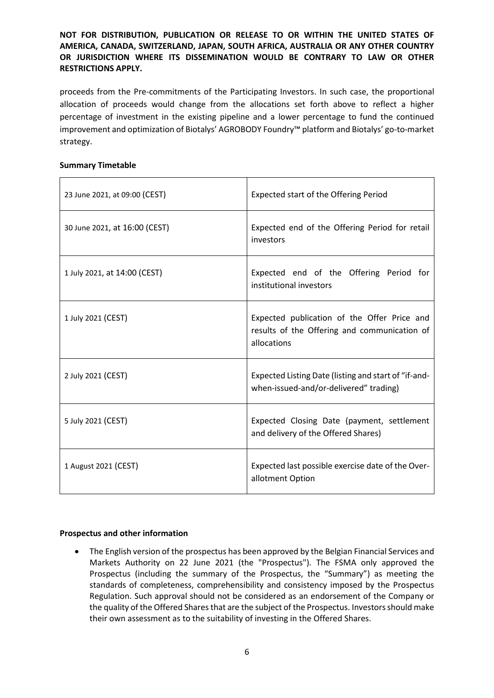proceeds from the Pre-commitments of the Participating Investors. In such case, the proportional allocation of proceeds would change from the allocations set forth above to reflect a higher percentage of investment in the existing pipeline and a lower percentage to fund the continued improvement and optimization of Biotalys' AGROBODY Foundry™ platform and Biotalys' go-to-market strategy.

## **Summary Timetable**

| 23 June 2021, at 09:00 (CEST) | <b>Expected start of the Offering Period</b>                                                               |
|-------------------------------|------------------------------------------------------------------------------------------------------------|
| 30 June 2021, at 16:00 (CEST) | Expected end of the Offering Period for retail<br>investors                                                |
| 1 July 2021, at 14:00 (CEST)  | Expected end of the Offering Period for<br>institutional investors                                         |
| 1 July 2021 (CEST)            | Expected publication of the Offer Price and<br>results of the Offering and communication of<br>allocations |
| 2 July 2021 (CEST)            | Expected Listing Date (listing and start of "if-and-<br>when-issued-and/or-delivered" trading)             |
| 5 July 2021 (CEST)            | Expected Closing Date (payment, settlement<br>and delivery of the Offered Shares)                          |
| 1 August 2021 (CEST)          | Expected last possible exercise date of the Over-<br>allotment Option                                      |

#### **Prospectus and other information**

• The English version of the prospectus has been approved by the Belgian Financial Services and Markets Authority on 22 June 2021 (the "Prospectus"). The FSMA only approved the Prospectus (including the summary of the Prospectus, the "Summary") as meeting the standards of completeness, comprehensibility and consistency imposed by the Prospectus Regulation. Such approval should not be considered as an endorsement of the Company or the quality of the Offered Shares that are the subject of the Prospectus. Investors should make their own assessment as to the suitability of investing in the Offered Shares.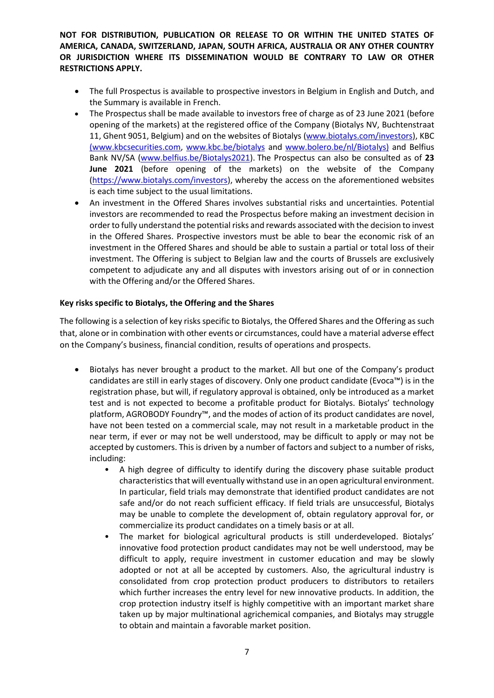- The full Prospectus is available to prospective investors in Belgium in English and Dutch, and the Summary is available in French.
- The Prospectus shall be made available to investors free of charge as of 23 June 2021 (before opening of the markets) at the registered office of the Company (Biotalys NV, Buchtenstraat 11, Ghent 9051, Belgium) and on the websites of Biotalys [\(www.biotalys.com/investors\)](http://www.biotalys.com/investors), KBC [\(www.kbcsecurities.com,](https://www.kbcsecurities.com/prospectus-documents-overviews/prospectus-overview) [www.kbc.be/biotalys](http://www.kbc.be/biotalys) and [www.bolero.be/nl/Biotalys\)](http://www.bolero.be/nl/Biotalys) and Belfius Bank NV/SA [\(www.belfius.be/Biotalys2021\)](file:///C:/Users/toon.musschoot/AppData/Local/Microsoft/Windows/INetCache/Content.Outlook/WTAG9WZB/www.belfius.be/Biotalys2021). The Prospectus can also be consulted as of **23 June 2021** (before opening of the markets) on the website of the Company [\(https://www.biotalys.com/investors\)](https://www.biotalys.com/investors), whereby the access on the aforementioned websites is each time subject to the usual limitations.
- An investment in the Offered Shares involves substantial risks and uncertainties. Potential investors are recommended to read the Prospectus before making an investment decision in order to fully understand the potential risks and rewards associated with the decision to invest in the Offered Shares. Prospective investors must be able to bear the economic risk of an investment in the Offered Shares and should be able to sustain a partial or total loss of their investment. The Offering is subject to Belgian law and the courts of Brussels are exclusively competent to adjudicate any and all disputes with investors arising out of or in connection with the Offering and/or the Offered Shares.

### **Key risks specific to Biotalys, the Offering and the Shares**

The following is a selection of key risks specific to Biotalys, the Offered Shares and the Offering as such that, alone or in combination with other events or circumstances, could have a material adverse effect on the Company's business, financial condition, results of operations and prospects.

- Biotalys has never brought a product to the market. All but one of the Company's product candidates are still in early stages of discovery. Only one product candidate (Evoca™) is in the registration phase, but will, if regulatory approval is obtained, only be introduced as a market test and is not expected to become a profitable product for Biotalys. Biotalys' technology platform, AGROBODY Foundry™, and the modes of action of its product candidates are novel, have not been tested on a commercial scale, may not result in a marketable product in the near term, if ever or may not be well understood, may be difficult to apply or may not be accepted by customers. This is driven by a number of factors and subject to a number of risks, including:
	- A high degree of difficulty to identify during the discovery phase suitable product characteristics that will eventually withstand use in an open agricultural environment. In particular, field trials may demonstrate that identified product candidates are not safe and/or do not reach sufficient efficacy. If field trials are unsuccessful, Biotalys may be unable to complete the development of, obtain regulatory approval for, or commercialize its product candidates on a timely basis or at all.
	- The market for biological agricultural products is still underdeveloped. Biotalys' innovative food protection product candidates may not be well understood, may be difficult to apply, require investment in customer education and may be slowly adopted or not at all be accepted by customers. Also, the agricultural industry is consolidated from crop protection product producers to distributors to retailers which further increases the entry level for new innovative products. In addition, the crop protection industry itself is highly competitive with an important market share taken up by major multinational agrichemical companies, and Biotalys may struggle to obtain and maintain a favorable market position.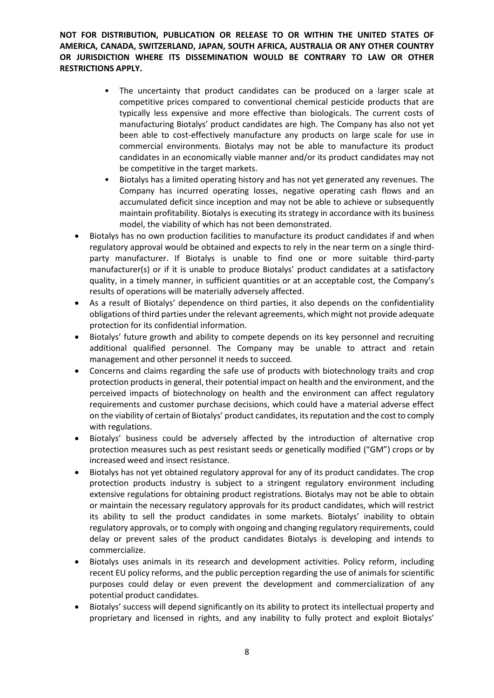- The uncertainty that product candidates can be produced on a larger scale at competitive prices compared to conventional chemical pesticide products that are typically less expensive and more effective than biologicals. The current costs of manufacturing Biotalys' product candidates are high. The Company has also not yet been able to cost-effectively manufacture any products on large scale for use in commercial environments. Biotalys may not be able to manufacture its product candidates in an economically viable manner and/or its product candidates may not be competitive in the target markets.
- Biotalys has a limited operating history and has not yet generated any revenues. The Company has incurred operating losses, negative operating cash flows and an accumulated deficit since inception and may not be able to achieve or subsequently maintain profitability. Biotalys is executing its strategy in accordance with its business model, the viability of which has not been demonstrated.
- Biotalys has no own production facilities to manufacture its product candidates if and when regulatory approval would be obtained and expects to rely in the near term on a single thirdparty manufacturer. If Biotalys is unable to find one or more suitable third-party manufacturer(s) or if it is unable to produce Biotalys' product candidates at a satisfactory quality, in a timely manner, in sufficient quantities or at an acceptable cost, the Company's results of operations will be materially adversely affected.
- As a result of Biotalys' dependence on third parties, it also depends on the confidentiality obligations of third parties under the relevant agreements, which might not provide adequate protection for its confidential information.
- Biotalys' future growth and ability to compete depends on its key personnel and recruiting additional qualified personnel. The Company may be unable to attract and retain management and other personnel it needs to succeed.
- Concerns and claims regarding the safe use of products with biotechnology traits and crop protection products in general, their potential impact on health and the environment, and the perceived impacts of biotechnology on health and the environment can affect regulatory requirements and customer purchase decisions, which could have a material adverse effect on the viability of certain of Biotalys' product candidates, its reputation and the cost to comply with regulations.
- Biotalys' business could be adversely affected by the introduction of alternative crop protection measures such as pest resistant seeds or genetically modified ("GM") crops or by increased weed and insect resistance.
- Biotalys has not yet obtained regulatory approval for any of its product candidates. The crop protection products industry is subject to a stringent regulatory environment including extensive regulations for obtaining product registrations. Biotalys may not be able to obtain or maintain the necessary regulatory approvals for its product candidates, which will restrict its ability to sell the product candidates in some markets. Biotalys' inability to obtain regulatory approvals, or to comply with ongoing and changing regulatory requirements, could delay or prevent sales of the product candidates Biotalys is developing and intends to commercialize.
- Biotalys uses animals in its research and development activities. Policy reform, including recent EU policy reforms, and the public perception regarding the use of animals for scientific purposes could delay or even prevent the development and commercialization of any potential product candidates.
- Biotalys' success will depend significantly on its ability to protect its intellectual property and proprietary and licensed in rights, and any inability to fully protect and exploit Biotalys'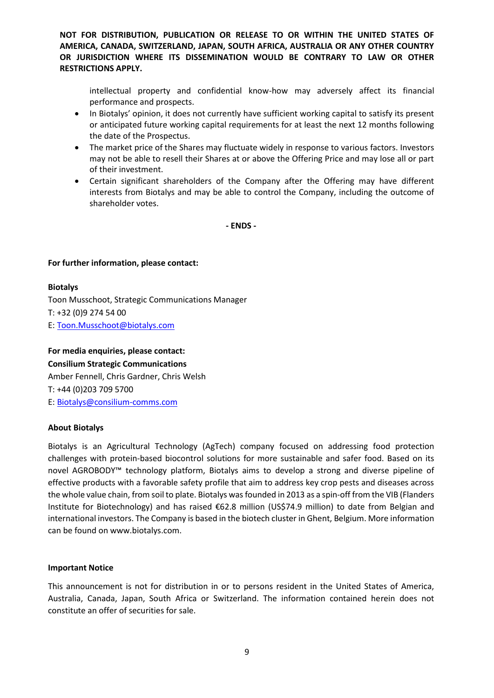intellectual property and confidential know-how may adversely affect its financial performance and prospects.

- In Biotalys' opinion, it does not currently have sufficient working capital to satisfy its present or anticipated future working capital requirements for at least the next 12 months following the date of the Prospectus.
- The market price of the Shares may fluctuate widely in response to various factors. Investors may not be able to resell their Shares at or above the Offering Price and may lose all or part of their investment.
- Certain significant shareholders of the Company after the Offering may have different interests from Biotalys and may be able to control the Company, including the outcome of shareholder votes.

**- ENDS -**

#### **For further information, please contact:**

### **Biotalys**

Toon Musschoot, Strategic Communications Manager T: +32 (0)9 274 54 00 E: Toon.Musschoot@biotalys.com

**For media enquiries, please contact: Consilium Strategic Communications** Amber Fennell, Chris Gardner, Chris Welsh T: +44 (0)203 709 5700 E: Biotalys@consilium-comms.com

#### **About Biotalys**

Biotalys is an Agricultural Technology (AgTech) company focused on addressing food protection challenges with protein-based biocontrol solutions for more sustainable and safer food. Based on its novel AGROBODY™ technology platform, Biotalys aims to develop a strong and diverse pipeline of effective products with a favorable safety profile that aim to address key crop pests and diseases across the whole value chain, from soil to plate. Biotalys was founded in 2013 as a spin-off from the VIB (Flanders Institute for Biotechnology) and has raised €62.8 million (US\$74.9 million) to date from Belgian and international investors. The Company is based in the biotech cluster in Ghent, Belgium. More information can be found on www.biotalys.com.

#### **Important Notice**

This announcement is not for distribution in or to persons resident in the United States of America, Australia, Canada, Japan, South Africa or Switzerland. The information contained herein does not constitute an offer of securities for sale.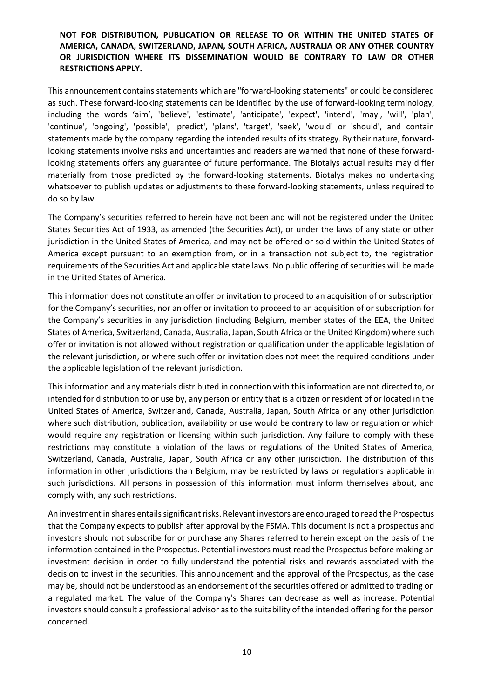This announcement contains statements which are "forward-looking statements" or could be considered as such. These forward-looking statements can be identified by the use of forward-looking terminology, including the words 'aim', 'believe', 'estimate', 'anticipate', 'expect', 'intend', 'may', 'will', 'plan', 'continue', 'ongoing', 'possible', 'predict', 'plans', 'target', 'seek', 'would' or 'should', and contain statements made by the company regarding the intended results of its strategy. By their nature, forwardlooking statements involve risks and uncertainties and readers are warned that none of these forwardlooking statements offers any guarantee of future performance. The Biotalys actual results may differ materially from those predicted by the forward-looking statements. Biotalys makes no undertaking whatsoever to publish updates or adjustments to these forward-looking statements, unless required to do so by law.

The Company's securities referred to herein have not been and will not be registered under the United States Securities Act of 1933, as amended (the Securities Act), or under the laws of any state or other jurisdiction in the United States of America, and may not be offered or sold within the United States of America except pursuant to an exemption from, or in a transaction not subject to, the registration requirements of the Securities Act and applicable state laws. No public offering of securities will be made in the United States of America.

This information does not constitute an offer or invitation to proceed to an acquisition of or subscription for the Company's securities, nor an offer or invitation to proceed to an acquisition of or subscription for the Company's securities in any jurisdiction (including Belgium, member states of the EEA, the United States of America, Switzerland, Canada, Australia, Japan, South Africa or the United Kingdom) where such offer or invitation is not allowed without registration or qualification under the applicable legislation of the relevant jurisdiction, or where such offer or invitation does not meet the required conditions under the applicable legislation of the relevant jurisdiction.

This information and any materials distributed in connection with this information are not directed to, or intended for distribution to or use by, any person or entity that is a citizen or resident of or located in the United States of America, Switzerland, Canada, Australia, Japan, South Africa or any other jurisdiction where such distribution, publication, availability or use would be contrary to law or regulation or which would require any registration or licensing within such jurisdiction. Any failure to comply with these restrictions may constitute a violation of the laws or regulations of the United States of America, Switzerland, Canada, Australia, Japan, South Africa or any other jurisdiction. The distribution of this information in other jurisdictions than Belgium, may be restricted by laws or regulations applicable in such jurisdictions. All persons in possession of this information must inform themselves about, and comply with, any such restrictions.

An investment in shares entails significant risks. Relevant investors are encouraged to read the Prospectus that the Company expects to publish after approval by the FSMA. This document is not a prospectus and investors should not subscribe for or purchase any Shares referred to herein except on the basis of the information contained in the Prospectus. Potential investors must read the Prospectus before making an investment decision in order to fully understand the potential risks and rewards associated with the decision to invest in the securities. This announcement and the approval of the Prospectus, as the case may be, should not be understood as an endorsement of the securities offered or admitted to trading on a regulated market. The value of the Company's Shares can decrease as well as increase. Potential investors should consult a professional advisor as to the suitability of the intended offering for the person concerned.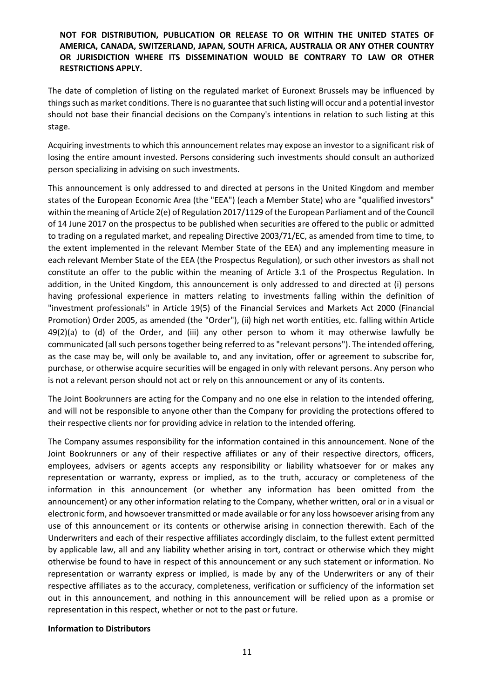The date of completion of listing on the regulated market of Euronext Brussels may be influenced by things such as market conditions. There is no guarantee that such listing will occur and a potential investor should not base their financial decisions on the Company's intentions in relation to such listing at this stage.

Acquiring investments to which this announcement relates may expose an investor to a significant risk of losing the entire amount invested. Persons considering such investments should consult an authorized person specializing in advising on such investments.

This announcement is only addressed to and directed at persons in the United Kingdom and member states of the European Economic Area (the "EEA") (each a Member State) who are "qualified investors" within the meaning of Article 2(e) of Regulation 2017/1129 of the European Parliament and of the Council of 14 June 2017 on the prospectus to be published when securities are offered to the public or admitted to trading on a regulated market, and repealing Directive 2003/71/EC, as amended from time to time, to the extent implemented in the relevant Member State of the EEA) and any implementing measure in each relevant Member State of the EEA (the Prospectus Regulation), or such other investors as shall not constitute an offer to the public within the meaning of Article 3.1 of the Prospectus Regulation. In addition, in the United Kingdom, this announcement is only addressed to and directed at (i) persons having professional experience in matters relating to investments falling within the definition of "investment professionals" in Article 19(5) of the Financial Services and Markets Act 2000 (Financial Promotion) Order 2005, as amended (the "Order"), (ii) high net worth entities, etc. falling within Article  $49(2)(a)$  to (d) of the Order, and (iii) any other person to whom it may otherwise lawfully be communicated (all such persons together being referred to as "relevant persons"). The intended offering, as the case may be, will only be available to, and any invitation, offer or agreement to subscribe for, purchase, or otherwise acquire securities will be engaged in only with relevant persons. Any person who is not a relevant person should not act or rely on this announcement or any of its contents.

The Joint Bookrunners are acting for the Company and no one else in relation to the intended offering, and will not be responsible to anyone other than the Company for providing the protections offered to their respective clients nor for providing advice in relation to the intended offering.

The Company assumes responsibility for the information contained in this announcement. None of the Joint Bookrunners or any of their respective affiliates or any of their respective directors, officers, employees, advisers or agents accepts any responsibility or liability whatsoever for or makes any representation or warranty, express or implied, as to the truth, accuracy or completeness of the information in this announcement (or whether any information has been omitted from the announcement) or any other information relating to the Company, whether written, oral or in a visual or electronic form, and howsoever transmitted or made available or for any loss howsoever arising from any use of this announcement or its contents or otherwise arising in connection therewith. Each of the Underwriters and each of their respective affiliates accordingly disclaim, to the fullest extent permitted by applicable law, all and any liability whether arising in tort, contract or otherwise which they might otherwise be found to have in respect of this announcement or any such statement or information. No representation or warranty express or implied, is made by any of the Underwriters or any of their respective affiliates as to the accuracy, completeness, verification or sufficiency of the information set out in this announcement, and nothing in this announcement will be relied upon as a promise or representation in this respect, whether or not to the past or future.

#### **Information to Distributors**